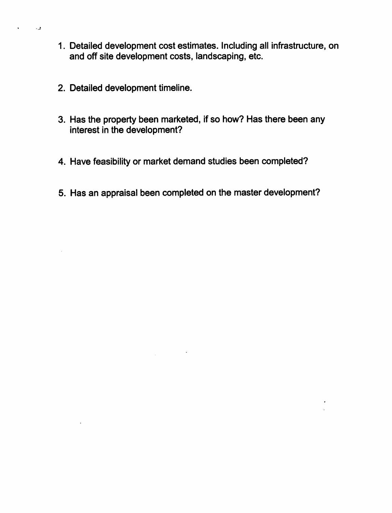- 1. Detailed development cost estimates. Including all infrastructure, on and off site development costs, landscaping, etc.
- 2. Detailed development timeline.

 $\mathcal{L}$ 

- 3. Has the property been marketed. If so how? Has there been any interest in the development?
- 4. Have feasibility or market demand studies been completed?
- 5. Has an appraisal been completed on the master development?

 $\mathcal{A}_1$ 

 $\bullet$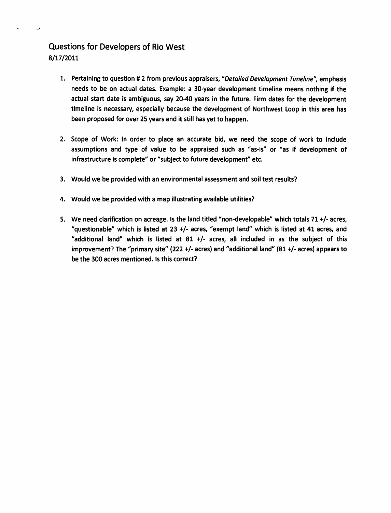## Questions for Developers of Rio West 8/17/2011

- 1. Pertaining to question # 2 from previous appraisers, "Detailed Development Timeline", emphasis needs to be on actual dates. Example: a 30-year development timeline means nothing if the actual start date is ambiguous, say 20-40 years in the future. Firm dates for the development timeline is necessary, especially because the development of Northwest Loop in this area has been proposed for over 25 years and it still has yet to happen.
- 2. Scope of Work: In order to place an accurate bid, we need the scope of work to include assumptions and type of value to be appraised such as "as-is" or "as if development of infrastructure is complete" or "subject to future development" etc.
- 3. Would we be provided with an environmental assessment and soil test results?
- 4. Would we be provided with a map illustrating available utilities?
- 5. We need clarification on acreage. Is the land titled "non-developable" which totals 71 +/- acres, "questionable" which is listed at 23 +/- acres, "exempt land" which is listed at 41 acres, and "additional land" which is listed at 81 +/- acres, all included in as the subject of this Improvement? The "primary site" (222 +/- acres) and "additional land" (81 +/- acres) appears to be the 300 acres mentioned. Is this correct?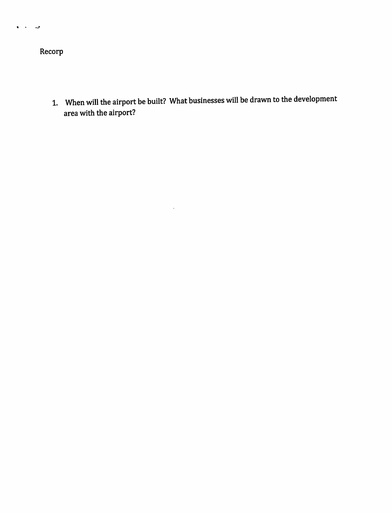Recorp

 $\mathbf{a} = \mathbf{a} \times \mathbf{a} \times \mathbf{a}$ 

1. When will the airport be built? What businesses will be drawn to the development area with the airport?

 $\ddot{\phantom{0}}$